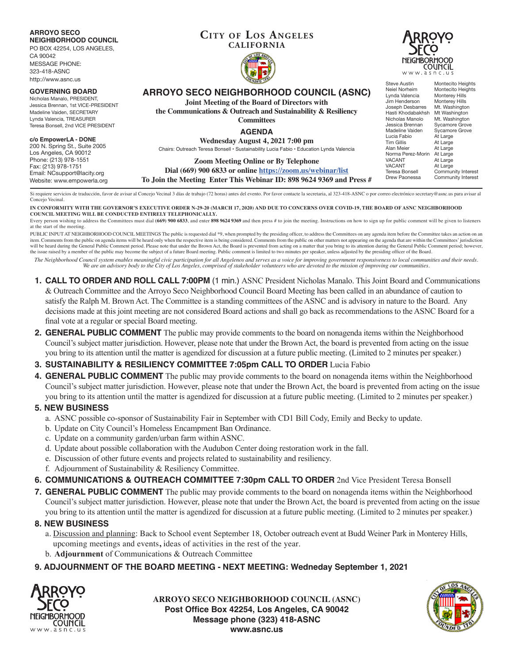**ARROYO SECO NEIGHBORHOOD COUNCIL**

PO BOX 42254, LOS ANGELES, CA 90042 MESSAGE PHONE:

323-418-ASNC http://www.asnc.us

### **GOVERNING BOARD**

Nicholas Manalo, PRESIDENT, Jessica Brennan, 1st VICE-PRESIDENT Madeline Vaiden, SECRETARY Lynda Valencia, TREASURER Teresa Bonsell, 2nd VICE PRESIDENT

### **c/o EmpowerLA - DONE**

200 N. Spring St., Suite 2005 Los Angeles, CA 90012 Phone: (213) 978-1551 Fax: (213) 978-1751 Email: NCsupport@lacity.org Website: www.empowerla.org

## **Cit y of Los Angeles CALIFORNIA**





# **ARROYO SECO NEIGHBORHOOD COUNCIL (ASNC)**

**Joint Meeting of the Board of Directors with**

**the Communications & Outreach and Sustainability & Resiliency Committees**

### **AGENDA**

**Wednesday August 4, 2021 7:00 pm** Chairs: Outreach Teresa Bonsell • Sustainability Lucia Fabio • Education Lynda Valencia

**Zoom Meeting Online or By Telephone Dial (669) 900 6833 or online https://zoom.us/webinar/list**

**To Join the Meeting Enter This Webinar ID: 898 9624 9369 and Press #**

Si requiere servicios de traducción, favor de avisar al Concejo Vecinal 3 días de trabajo (72 horas) antes del evento. Por favor contacte la secretaria, al 323-418-ASNC o por correo electrónico secretary@asnc.us para avisa Concejo Vecinal.

**IN CONFORMITY WITH THE GOVERNOR'S EXECUTIVE ORDER N-29-20 (MARCH 17, 2020) AND DUE TO CONCERNS OVER COVID-19, THE BOARD OF ASNC NEIGHBORHOOD COUNCIL MEETING WILL BE CONDUCTED ENTIRELY TELEPHONICALLY.**

Every person wishing to address the Committees must dial (669) 900 6833, and enter 898 9624 9369 and then press # to join the meeting. Instructions on how to sign up for public comment will be given to listeners at the start of the meeting.

PUBLIC INPUT AT NEIGHBORHOOD COUNCIL MEETINGS The public is requested dial \*9, when prompted by the presiding officer, to address the Committees on any agenda item before the Committee takes an action on an item. Comments from the public on agenda items will be heard only when the respective item is being considered. Comments from the public on other matters not appearing on the agenda that are within the Committees' jurisdic will be heard during the General Public Comment period. Please note that under the Brown Act, the Board is prevented from acting on a matter that you bring to its attention during the General Public Comment period; however the issue raised by a member of the public may become the subject of a future Board meeting. Public comment is limited to two minutes per speaker, unless adjusted by the presiding officer of the Board.

*The Neighborhood Council system enables meaningful civic participation for all Angelenos and serves as a voice for improving government responsiveness to local communities and their needs. We are an advisory body to the City of Los Angeles, comprised of stakeholder volunteers who are devoted to the mission of improving our communities.*

- **1. CALL TO ORDER AND ROLL CALL 7:00PM** (1 min.) ASNC President Nicholas Manalo. This Joint Board and Communications & Outreach Committee and the Arroyo Seco Neighborhood Council Board Meeting has been called in an abundance of caution to satisfy the Ralph M. Brown Act. The Committee is a standing committees of the ASNC and is advisory in nature to the Board. Any decisions made at this joint meeting are not considered Board actions and shall go back as recommendations to the ASNC Board for a final vote at a regular or special Board meeting.
- **2. GENERAL PUBLIC COMMENT** The public may provide comments to the board on nonagenda items within the Neighborhood Council's subject matter jurisdiction. However, please note that under the Brown Act, the board is prevented from acting on the issue you bring to its attention until the matter is agendized for discussion at a future public meeting. (Limited to 2 minutes per speaker.)

# **3. SUSTAINABILITY & RESILIENCY COMMITTEE 7:05pm CALL TO ORDER** Lucia Fabio

**4. GENERAL PUBLIC COMMENT** The public may provide comments to the board on nonagenda items within the Neighborhood Council's subject matter jurisdiction. However, please note that under the Brown Act, the board is prevented from acting on the issue you bring to its attention until the matter is agendized for discussion at a future public meeting. (Limited to 2 minutes per speaker.)

## **5. NEW BUSINESS**

- a. ASNC possible co-sponsor of Sustainability Fair in September with CD1 Bill Cody, Emily and Becky to update.
- b. Update on City Council's Homeless Encampment Ban Ordinance.
- c. Update on a community garden/urban farm within ASNC.
- d. Update about possible collaboration with the Audubon Center doing restoration work in the fall.
- e. Discussion of other future events and projects related to sustainability and resiliency.
- f. Adjournment of Sustainability & Resiliency Committee.
- **6. COMMUNICATIONS & OUTREACH COMMITTEE 7:30pm CALL TO ORDER** 2nd Vice President Teresa Bonsell
- **7. GENERAL PUBLIC COMMENT** The public may provide comments to the board on nonagenda items within the Neighborhood Council's subject matter jurisdiction. However, please note that under the Brown Act, the board is prevented from acting on the issue you bring to its attention until the matter is agendized for discussion at a future public meeting. (Limited to 2 minutes per speaker.)

## **8. NEW BUSINESS**

- a. Discussion and planning: Back to School event September 18, October outreach event at Budd Weiner Park in Monterey Hills, upcoming meetings and events**,** ideas of activities in the rest of the year.
- b. **Adjournment** of Communications & Outreach Committee

## **9. ADJOURNMENT OF THE BOARD MEETING - NEXT MEETING: Wedneday September 1, 2021**



**ARROYO SECO NEIGHBORHOOD COUNCIL (ASNC) Post Office Box 42254, Los Angeles, CA 90042 Message phone (323) 418-ASNC www.asnc.us**



Steve Austin Montecito Heights<br>
Neiel Norheim Montecito Heights Montecito Heights<br>Monterey Hills Lynda Valencia Monterey Hills<br>Jim Henderson Monterey Hills Jim Henderson Monterey Hills<br>Joseph Desbarres Mt. Washington Joseph Desbarres Mt. Washington<br>Hasti Khodabakhsh Mt Washington Hasti Khodabakhsh<br>Nicholas Manolo Nicholas Manolo Mt. Washington<br>Jessica Brennan Sycamore Grove Sycamore Grove<br>Sycamore Grove Madeline Vaiden<br>Lucia Fabio Lucia Fabio At Large<br>Tim Gillis At Large At Large<br>At Large Alan Meier<br>Norma Perez-Morin At Large Norma Perez-Morin<br>VACANT VACANT At Large<br>VACANT At Large VACANT At Large<br>Teresa Bonsell Commun Teresa Bonsell Community Interest<br>Drew Paonessa Community Interest Community Interest